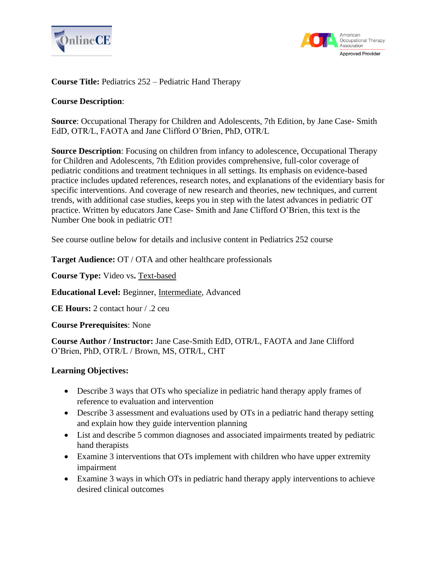



### **Course Title:** Pediatrics 252 – Pediatric Hand Therapy

#### **Course Description**:

**Source**: Occupational Therapy for Children and Adolescents, 7th Edition, by Jane Case- Smith EdD, OTR/L, FAOTA and Jane Clifford O'Brien, PhD, OTR/L

**Source Description**: Focusing on children from infancy to adolescence, Occupational Therapy for Children and Adolescents, 7th Edition provides comprehensive, full-color coverage of pediatric conditions and treatment techniques in all settings. Its emphasis on evidence-based practice includes updated references, research notes, and explanations of the evidentiary basis for specific interventions. And coverage of new research and theories, new techniques, and current trends, with additional case studies, keeps you in step with the latest advances in pediatric OT practice. Written by educators Jane Case- Smith and Jane Clifford O'Brien, this text is the Number One book in pediatric OT!

See course outline below for details and inclusive content in Pediatrics 252 course

**Target Audience:** OT / OTA and other healthcare professionals

**Course Type:** Video vs**.** Text-based

**Educational Level:** Beginner, Intermediate, Advanced

**CE Hours:** 2 contact hour / .2 ceu

**Course Prerequisites**: None

**Course Author / Instructor:** Jane Case-Smith EdD, OTR/L, FAOTA and Jane Clifford O'Brien, PhD, OTR/L / Brown, MS, OTR/L, CHT

#### **Learning Objectives:**

- Describe 3 ways that OTs who specialize in pediatric hand therapy apply frames of reference to evaluation and intervention
- Describe 3 assessment and evaluations used by OTs in a pediatric hand therapy setting and explain how they guide intervention planning
- List and describe 5 common diagnoses and associated impairments treated by pediatric hand therapists
- Examine 3 interventions that OTs implement with children who have upper extremity impairment
- Examine 3 ways in which OTs in pediatric hand therapy apply interventions to achieve desired clinical outcomes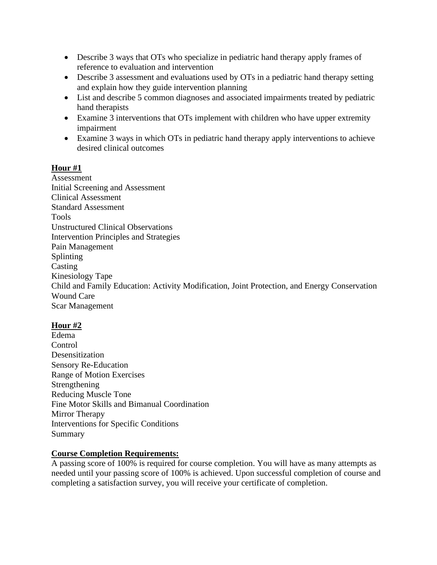- Describe 3 ways that OTs who specialize in pediatric hand therapy apply frames of reference to evaluation and intervention
- Describe 3 assessment and evaluations used by OTs in a pediatric hand therapy setting and explain how they guide intervention planning
- List and describe 5 common diagnoses and associated impairments treated by pediatric hand therapists
- Examine 3 interventions that OTs implement with children who have upper extremity impairment
- Examine 3 ways in which OTs in pediatric hand therapy apply interventions to achieve desired clinical outcomes

# **Hour #1**

Assessment Initial Screening and Assessment Clinical Assessment Standard Assessment Tools Unstructured Clinical Observations Intervention Principles and Strategies Pain Management Splinting Casting Kinesiology Tape Child and Family Education: Activity Modification, Joint Protection, and Energy Conservation Wound Care Scar Management

# **Hour #2**

Edema **Control** Desensitization Sensory Re-Education Range of Motion Exercises Strengthening Reducing Muscle Tone Fine Motor Skills and Bimanual Coordination Mirror Therapy Interventions for Specific Conditions Summary

## **Course Completion Requirements:**

A passing score of 100% is required for course completion. You will have as many attempts as needed until your passing score of 100% is achieved. Upon successful completion of course and completing a satisfaction survey, you will receive your certificate of completion.